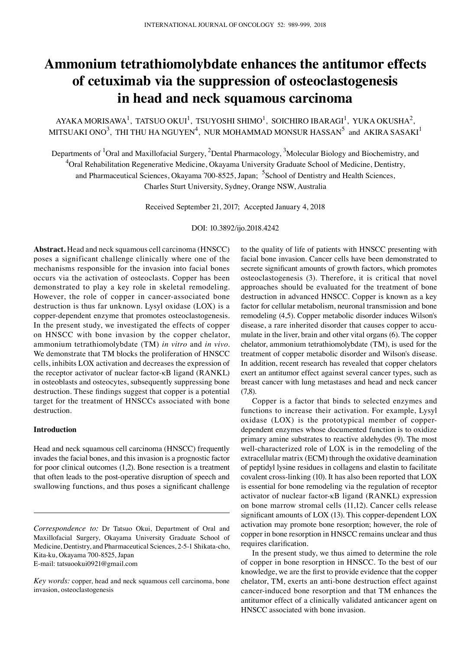# **Ammonium tetrathiomolybdate enhances the antitumor effects of cetuximab via the suppression of osteoclastogenesis in head and neck squamous carcinoma**

AYAKA MORISAWA<sup>1</sup>, TATSUO OKUI<sup>1</sup>, TSUYOSHI SHIMO<sup>1</sup>, SOICHIRO IBARAGI<sup>1</sup>, YUKA OKUSHA<sup>2</sup>, MITSUAKI ONO $^3$ , THI THU HA NGUYEN $^4$ , NUR MOHAMMAD MONSUR HASSAN $^5$  and AKIRA SASAKI $^1$ 

Departments of <sup>1</sup>Oral and Maxillofacial Surgery, <sup>2</sup>Dental Pharmacology, <sup>3</sup>Molecular Biology and Biochemistry, and

<sup>4</sup>Oral Rehabilitation Regenerative Medicine, Okayama University Graduate School of Medicine, Dentistry,

and Pharmaceutical Sciences, Okayama 700-8525, Japan; <sup>5</sup>School of Dentistry and Health Sciences,

Charles Sturt University, Sydney, Orange NSW, Australia

Received September 21, 2017; Accepted January 4, 2018

DOI: 10.3892/ijo.2018.4242

**Abstract.** Head and neck squamous cell carcinoma (HNSCC) poses a significant challenge clinically where one of the mechanisms responsible for the invasion into facial bones occurs via the activation of osteoclasts. Copper has been demonstrated to play a key role in skeletal remodeling. However, the role of copper in cancer-associated bone destruction is thus far unknown. Lysyl oxidase (LOX) is a copper-dependent enzyme that promotes osteoclastogenesis. In the present study, we investigated the effects of copper on HNSCC with bone invasion by the copper chelator, ammonium tetrathiomolybdate (TM) *in vitro* and *in vivo*. We demonstrate that TM blocks the proliferation of HNSCC cells, inhibits LOX activation and decreases the expression of the receptor activator of nuclear factor-κB ligand (RANKL) in osteoblasts and osteocytes, subsequently suppressing bone destruction. These findings suggest that copper is a potential target for the treatment of HNSCCs associated with bone destruction.

## **Introduction**

Head and neck squamous cell carcinoma (HNSCC) frequently invades the facial bones, and this invasion is a prognostic factor for poor clinical outcomes (1,2). Bone resection is a treatment that often leads to the post-operative disruption of speech and swallowing functions, and thus poses a significant challenge to the quality of life of patients with HNSCC presenting with facial bone invasion. Cancer cells have been demonstrated to secrete significant amounts of growth factors, which promotes osteoclastogenesis (3). Therefore, it is critical that novel approaches should be evaluated for the treatment of bone destruction in advanced HNSCC. Copper is known as a key factor for cellular metabolism, neuronal transmission and bone remodeling (4,5). Copper metabolic disorder induces Wilson's disease, a rare inherited disorder that causes copper to accumulate in the liver, brain and other vital organs (6). The copper chelator, ammonium tetrathiomolybdate (TM), is used for the treatment of copper metabolic disorder and Wilson's disease. In addition, recent research has revealed that copper chelators exert an antitumor effect against several cancer types, such as breast cancer with lung metastases and head and neck cancer  $(7,8)$ .

Copper is a factor that binds to selected enzymes and functions to increase their activation. For example, Lysyl oxidase (LOX) is the prototypical member of copperdependent enzymes whose documented function is to oxidize primary amine substrates to reactive aldehydes (9). The most well-characterized role of LOX is in the remodeling of the extracellular matrix (ECM) through the oxidative deamination of peptidyl lysine residues in collagens and elastin to facilitate covalent cross-linking (10). It has also been reported that LOX is essential for bone remodeling via the regulation of receptor activator of nuclear factor-κB ligand (RANKL) expression on bone marrow stromal cells (11,12). Cancer cells release significant amounts of LOX (13). This copper-dependent LOX activation may promote bone resorption; however, the role of copper in bone resorption in HNSCC remains unclear and thus requires clarification.

In the present study, we thus aimed to determine the role of copper in bone resorption in HNSCC. To the best of our knowledge, we are the first to provide evidence that the copper chelator, TM, exerts an anti-bone destruction effect against cancer-induced bone resorption and that TM enhances the antitumor effect of a clinically validated anticancer agent on HNSCC associated with bone invasion.

*Correspondence to:* Dr Tatsuo Okui, Department of Oral and Maxillofacial Surgery, Okayama University Graduate School of Medicine, Dentistry, and Pharmaceutical Sciences, 2-5-1 Shikata-cho, Kita-ku, Okayama 700-8525, Japan E-mail: tatsuookui0921@gmail.com

*Key words:* copper, head and neck squamous cell carcinoma, bone invasion, osteoclastogenesis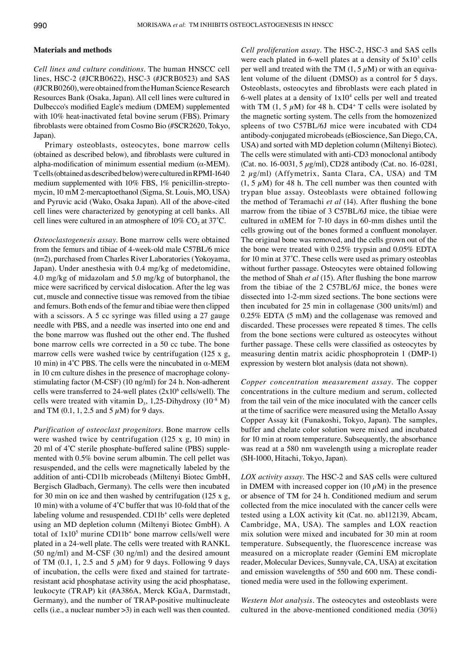## **Materials and methods**

*Cell lines and culture conditions.* The human HNSCC cell lines, HSC-2 (#JCRB0622), HSC-3 (#JCRB0523) and SAS (#JCRB0260), were obtained from the Human Science Research Resources Bank (Osaka, Japan). All cell lines were cultured in Dulbecco's modified Eagle's medium (DMEM) supplemented with 10% heat-inactivated fetal bovine serum (FBS). Primary fibroblasts were obtained from Cosmo Bio (#SCR2620, Tokyo, Japan).

Primary osteoblasts, osteocytes, bone marrow cells (obtained as described below), and fibroblasts were cultured in alpha-modification of minimum essential medium ( $\alpha$ -MEM). Tcells (obtained as described below) were cultured in RPMI-1640 medium supplemented with 10% FBS, 1% penicillin-streptomycin, 10 mM 2-mercaptoethanol (Sigma, St. Louis, MO, USA) and Pyruvic acid (Wako, Osaka Japan). All of the above-cited cell lines were characterized by genotyping at cell banks. All cell lines were cultured in an atmosphere of  $10\%$  CO<sub>2</sub> at  $37^{\circ}$ C.

*Osteoclastogenesis assay.* Bone marrow cells were obtained from the femurs and tibiae of 4-week-old male C57BL/6 mice (n=2), purchased from Charles River Laboratories (Yokoyama, Japan). Under anesthesia with 0.4 mg/kg of medetomidine, 4.0 mg/kg of midazolam and 5.0 mg/kg of butorphanol, the mice were sacrificed by cervical dislocation. After the leg was cut, muscle and connective tissue was removed from the tibiae and femurs. Both ends of the femur and tibiae were then clipped with a scissors. A 5 cc syringe was filled using a 27 gauge needle with PBS, and a needle was inserted into one end and the bone marrow was flushed out the other end. The flushed bone marrow cells wre corrected in a 50 cc tube. The bone marrow cells were washed twice by centrifugation (125 x g, 10 min) in 4°C PBS. The cells were the nincubated in α-MEM in 10 cm culture dishes in the presence of macrophage colonystimulating factor (M-CSF) (10 ng/ml) for 24 h. Non-adherent cells were transferred to 24-well plates  $(2x10<sup>6</sup>$  cells/well). The cells were treated with vitamin  $D_3$ , 1,25-Dihydroxy (10<sup>-8</sup> M) and TM (0.1, 1, 2.5 and 5  $\mu$ M) for 9 days.

*Purification of osteoclast progenitors.* Bone marrow cells were washed twice by centrifugation (125 x g, 10 min) in 20 ml of 4˚C sterile phosphate-buffered saline (PBS) supplemented with 0.5% bovine serum albumin. The cell pellet was resuspended, and the cells were magnetically labeled by the addition of anti-CD11b microbeads (Miltenyi Biotec GmbH, Bergisch Gladbach, Germany). The cells were then incubated for 30 min on ice and then washed by centrifugation (125 x g, 10 min) with a volume of 4˚C buffer that was 10-fold that of the labeling volume and resuspended. CD11b<sup>+</sup> cells were depleted using an MD depletion column (Miltenyi Biotec GmbH). A total of  $1x10<sup>5</sup>$  murine CD11b<sup>+</sup> bone marrow cells/well were plated in a 24-well plate. The cells were treated with RANKL (50 ng/ml) and M-CSF (30 ng/ml) and the desired amount of TM  $(0.1, 1, 2.5 \text{ and } 5 \mu \text{M})$  for 9 days. Following 9 days of incubation, the cells were fixed and stained for tartrateresistant acid phosphatase activity using the acid phosphatase, leukocyte (TRAP) kit (#A386A, Merck KGaA, Darmstadt, Germany), and the number of TRAP-positive multinucleate cells (i.e., a nuclear number >3) in each well was then counted.

*Cell proliferation assay.* The HSC-2, HSC-3 and SAS cells were each plated in 6-well plates at a density of  $5x10<sup>3</sup>$  cells per well and treated with the TM  $(1, 5 \mu M)$  or with an equivalent volume of the diluent (DMSO) as a control for 5 days. Osteoblasts, osteocytes and fibroblasts were each plated in 6-well plates at a density of  $1x10<sup>4</sup>$  cells per well and treated with TM  $(1, 5 \mu M)$  for 48 h. CD4<sup>+</sup> T cells were isolated by the magnetic sorting system. The cells from the homozenized spleens of two C57BL/6J mice were incubated with CD4 antibody-conjugated microbeads (eBioscience, San Diego, CA, USA) and sorted with MD depletion column (Miltenyi Biotec). The cells were stimulated with anti-CD3 monoclonal antibody (Cat. no. 16-0031, 5 µg/ml), CD28 antibody (Cat. no. 16-0281,  $2 \mu$ g/ml) (Affymetrix, Santa Clara, CA, USA) and TM  $(1, 5 \mu M)$  for 48 h. The cell number was then counted with trypan blue assay. Osteoblasts were obtained following the method of Teramachi *et al* (14). After flushing the bone marrow from the tibiae of 3 C57BL/6J mice, the tibiae were cultured in  $\alpha$ MEM for 7-10 days in 60-mm dishes until the cells growing out of the bones formed a confluent monolayer. The original bone was removed, and the cells grown out of the the bone were treated with 0.25% trypsin and 0.05% EDTA for 10 min at 37˚C. These cells were used as primary osteoblas without further passage. Osteocytes were obtained following the method of Shah *et al* (15). After flushing the bone marrow from the tibiae of the 2 C57BL/6J mice, the bones were dissected into 1-2-mm sized sections. The bone sections were then incubated for 25 min in collagenase (300 units/ml) and 0.25% EDTA (5 mM) and the collagenase was removed and discarded. These processes were repeated 8 times. The cells from the bone sections were cultured as osteocytes without further passage. These cells were classified as osteocytes by measuring dentin matrix acidic phosphoprotein 1 (DMP-1) expression by western blot analysis (data not shown).

*Copper concentration measurement assay.* The copper concentrations in the culture medium and serum, collected from the tail vein of the mice inoculated with the cancer cells at the time of sacrifice were measured using the Metallo Assay Copper Assay kit (Funakoshi, Tokyo, Japan). The samples, buffer and chelate color solution were mixed and incubated for 10 min at room temperature. Subsequently, the absorbance was read at a 580 nm wavelength using a microplate reader (SH-1000, Hitachi, Tokyo, Japan).

*LOX activity assay.* The HSC-2 and SAS cells were cultured in DMEM with increased copper ion  $(10 \mu M)$  in the presence or absence of TM for 24 h. Conditioned medium and serum collected from the mice inoculated with the cancer cells were tested using a LOX activity kit (Cat. no. ab112139, Abcam, Cambridge, MA, USA). The samples and LOX reaction mix solution were mixed and incubated for 30 min at room temperature. Subsequently, the fluorescence increase was measured on a microplate reader (Gemini EM microplate reader, Molecular Devices, Sunnyvale, CA, USA) at excitation and emission wavelengths of 550 and 600 nm. These conditioned media were used in the following experiment.

*Western blot analysis.* The osteocytes and osteoblasts were cultured in the above-mentioned conditioned media (30%)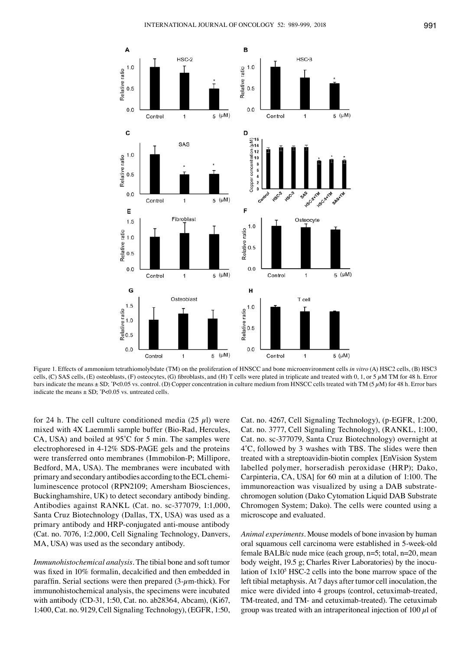

Figure 1. Effects of ammonium tetrathiomolybdate (TM) on the proliferation of HNSCC and bone microenvironment cells *in vitro* (A) HSC2 cells, (B) HSC3 cells, (C) SAS cells, (E) osteoblasts, (F) osteocytes, (G) fibroblasts, and (H) T cells were plated in triplicate and treated with 0, 1, or 5 µM TM for 48 h. Error bars indicate the means  $\pm$  SD;  $\degree$ P<0.05 vs. control. (D) Copper concentration in culture medium from HNSCC cells treated with TM (5  $\mu$ M) for 48 h. Error bars indicate the means  $\pm$  SD;  $\degree$ P<0.05 vs. untreated cells.

for 24 h. The cell culture conditioned media  $(25 \mu l)$  were mixed with 4X Laemmli sample buffer (Bio-Rad, Hercules, CA, USA) and boiled at 95˚C for 5 min. The samples were electrophoresed in 4-12% SDS-PAGE gels and the proteins were transferred onto membranes (Immobilon-P; Millipore, Bedford, MA, USA). The membranes were incubated with primary and secondary antibodies according to the ECL chemiluminescence protocol (RPN2109; Amersham Biosciences, Buckinghamshire, UK) to detect secondary antibody binding. Antibodies against RANKL (Cat. no. sc-377079, 1:1,000, Santa Cruz Biotechnology (Dallas, TX, USA) was used as a primary antibody and HRP-conjugated anti-mouse antibody (Cat. no. 7076, 1:2,000, Cell Signaling Technology, Danvers, MA, USA) was used as the secondary antibody.

*Immunohistochemical analysis.* The tibial bone and soft tumor was fixed in 10% formalin, decalcified and then embedded in paraffin. Serial sections were then prepared  $(3-\mu m$ -thick). For immunohistochemical analysis, the specimens were incubated with antibody (CD-31, 1:50, Cat. no. ab28364, Abcam), (Ki67, 1:400, Cat. no. 9129, Cell Signaling Technology), (EGFR, 1:50, Cat. no. 4267, Cell Signaling Technology), (p-EGFR, 1:200, Cat. no. 3777, Cell Signaling Technology), (RANKL, 1:100, Cat. no. sc-377079, Santa Cruz Biotechnology) overnight at 4˚C, followed by 3 washes with TBS. The slides were then treated with a streptoavidin-biotin complex [EnVision System labelled polymer, horseradish peroxidase (HRP); Dako, Carpinteria, CA, USA] for 60 min at a dilution of 1:100. The immunoreaction was visualized by using a DAB substratechromogen solution (Dako Cytomation Liquid DAB Substrate Chromogen System; Dako). The cells were counted using a microscope and evaluated.

*Animal experiments.* Mouse models of bone invasion by human oral squamous cell carcinoma were established in 5-week-old female BALB/c nude mice (each group, n=5; total, n=20, mean body weight, 19.5 g; Charles River Laboratories) by the inoculation of  $1x10<sup>5</sup>$  HSC-2 cells into the bone marrow space of the left tibial metaphysis. At 7 days after tumor cell inoculation, the mice were divided into 4 groups (control, cetuximab-treated, TM-treated, and TM- and cetuximab-treated). The cetuximab group was treated with an intraperitoneal injection of 100  $\mu$ l of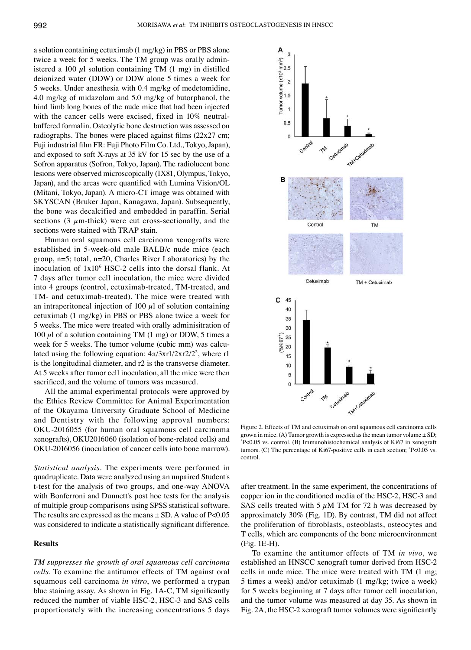a solution containing cetuximab (1 mg/kg) in PBS or PBS alone twice a week for 5 weeks. The TM group was orally administered a 100  $\mu$ l solution containing TM (1 mg) in distilled deionized water (DDW) or DDW alone 5 times a week for 5 weeks. Under anesthesia with 0.4 mg/kg of medetomidine, 4.0 mg/kg of midazolam and 5.0 mg/kg of butorphanol, the hind limb long bones of the nude mice that had been injected with the cancer cells were excised, fixed in 10% neutralbuffered formalin. Osteolytic bone destruction was assessed on radiographs. The bones were placed against films (22x27 cm; Fuji industrial film FR: Fuji Photo Film Co. Ltd., Tokyo, Japan), and exposed to soft X-rays at 35 kV for 15 sec by the use of a Sofron apparatus (Sofron, Tokyo, Japan). The radiolucent bone lesions were observed microscopically (IX81, Olympus, Tokyo, Japan), and the areas were quantified with Lumina Vision/OL (Mitani, Tokyo, Japan). A micro-CT image was obtained with SKYSCAN (Bruker Japan, Kanagawa, Japan). Subsequently, the bone was decalcified and embedded in paraffin. Serial sections  $(3 \mu m$ -thick) were cut cross-sectionally, and the sections were stained with TRAP stain.

Human oral squamous cell carcinoma xenografts were established in 5-week-old male BALB/c nude mice (each group, n=5; total, n=20, Charles River Laboratories) by the inoculation of  $1x10^6$  HSC-2 cells into the dorsal flank. At 7 days after tumor cell inoculation, the mice were divided into 4 groups (control, cetuximab-treated, TM-treated, and TM- and cetuximab-treated). The mice were treated with an intraperitoneal injection of 100  $\mu$ l of solution containing cetuximab (1 mg/kg) in PBS or PBS alone twice a week for 5 weeks. The mice were treated with orally adminisitration of 100  $\mu$ l of a solution containing TM (1 mg) or DDW, 5 times a week for 5 weeks. The tumor volume (cubic mm) was calculated using the following equation:  $4\pi/3x$ r1/2xr2/2<sup>2</sup>, where r1 is the longitudinal diameter, and r2 is the transverse diameter. At 5 weeks after tumor cell inoculation, all the mice were then sacrificed, and the volume of tumors was measured.

All the animal experimental protocols were approved by the Ethics Review Committee for Animal Experimentation of the Okayama University Graduate School of Medicine and Dentistry with the following approval numbers: OKU-2016055 (for human oral squamous cell carcinoma xenografts), OKU2016060 (isolation of bone-related cells) and OKU-2016056 (inoculation of cancer cells into bone marrow).

*Statistical analysis.* The experiments were performed in quadruplicate. Data were analyzed using an unpaired Student's t-test for the analysis of two groups, and one-way ANOVA with Bonferroni and Dunnett's post hoc tests for the analysis of multiple group comparisons using SPSS statistical software. The results are expressed as the means  $\pm$  SD. A value of P<0.05 was considered to indicate a statistically significant difference.

## **Results**

*TM suppresses the growth of oral squamous cell carcinoma cells.* To examine the antitumor effects of TM against oral squamous cell carcinoma *in vitro*, we performed a trypan blue staining assay. As shown in Fig. 1A-C, TM significantly reduced the number of viable HSC-2, HSC-3 and SAS cells proportionately with the increasing concentrations 5 days



Figure 2. Effects of TM and cetuximab on oral squamous cell carcinoma cells grown in mice. (A) Tumor growth is expressed as the mean tumor volume  $\pm$  SD;  $P<0.05$  vs. control. (B) Immunohistochemical analysis of Ki67 in xenograft tumors. (C) The percentage of Ki67-positive cells in each section; \* P<0.05 vs. control.

after treatment. In the same experiment, the concentrations of copper ion in the conditioned media of the HSC-2, HSC-3 and SAS cells treated with 5  $\mu$ M TM for 72 h was decreased by approximately 30% (Fig. 1D). By contrast, TM did not affect the proliferation of fibroblasts, osteoblasts, osteocytes and T cells, which are components of the bone microenvironment (Fig. 1E-H).

To examine the antitumor effects of TM *in vivo*, we established an HNSCC xenograft tumor derived from HSC-2 cells in nude mice. The mice were treated with TM (1 mg; 5 times a week) and/or cetuximab (1 mg/kg; twice a week) for 5 weeks beginning at 7 days after tumor cell inoculation, and the tumor volume was measured at day 35. As shown in Fig. 2A, the HSC-2 xenograft tumor volumes were significantly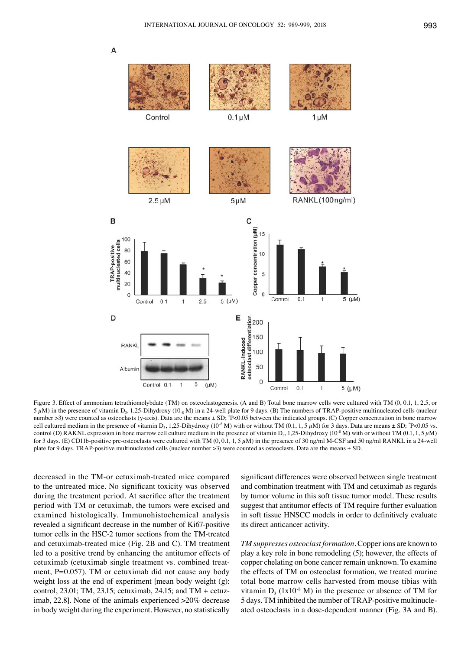A



Figure 3. Effect of ammonium tetrathiomolybdate (TM) on osteoclastogenesis. (A and B) Total bone marrow cells were cultured with TM (0, 0.1, 1, 2.5, or  $5 \mu$ M) in the presence of vitamin D<sub>3</sub>, 1,25-Dihydroxy (10<sub>-8</sub> M) in a 24-well plate for 9 days. (B) The numbers of TRAP-positive multinucleated cells (nuclear number >3) were counted as osteoclasts (y-axis). Data are the means ± SD; "P<0.05 between the indicated groups. (C) Copper concentration in bone marrow cell cultured medium in the presence of vitamin  $D_3$ , 1,25-Dihydroxy (10<sup>-8</sup> M) with or without TM (0.1, 1, 5  $\mu$ M) for 3 days. Data are means  $\pm$  SD;  $P$  <0.05 vs. control (D) RAKNL expression in bone marrow cell culture medium in the presence of vitamin D<sub>3</sub>, 1,25-Dihydroxy (10<sup>-8</sup> M) with or without TM (0.1, 1, 5 µM) for 3 days. (E) CD11b-positive pre-osteoclasts were cultured with TM  $(0, 0.1, 1, 5 \,\mu\text{M})$  in the presence of 30 ng/ml M-CSF and 50 ng/ml RANKL in a 24-well plate for 9 days. TRAP-positive multinucleated cells (nuclear number >3) were counted as osteoclasts. Data are the means ± SD.

decreased in the TM-or cetuximab-treated mice compared to the untreated mice. No significant toxicity was observed during the treatment period. At sacrifice after the treatment period with TM or cetuximab, the tumors were excised and examined histologically. Immunohistochemical analysis revealed a significant decrease in the number of Ki67-positive tumor cells in the HSC-2 tumor sections from the TM-treated and cetuximab-treated mice (Fig. 2B and C). TM treatment led to a positive trend by enhancing the antitumor effects of cetuximab (cetuximab single treatment vs. combined treatment, P=0.057). TM or cetuximab did not cause any body weight loss at the end of experiment [mean body weight (g): control, 23.01; TM, 23.15; cetuximab, 24.15; and TM + cetuzimab, 22.8]. None of the animals experienced >20% decrease in body weight during the experiment. However, no statistically

significant differences were observed between single treatment and combination treatment with TM and cetuximab as regards by tumor volume in this soft tissue tumor model. These results suggest that antitumor effects of TM require further evaluation in soft tissue HNSCC models in order to definitively evaluate its direct anticancer activity.

*TM suppresses osteoclast formation.* Copper ions are known to play a key role in bone remodeling (5); however, the effects of copper chelating on bone cancer remain unknown. To examine the effects of TM on osteoclast formation, we treated murine total bone marrow cells harvested from mouse tibias with vitamin  $D_3$  (1x10<sup>-8</sup> M) in the presence or absence of TM for 5 days. TM inhibited the number of TRAP-positive multinucleated osteoclasts in a dose-dependent manner (Fig. 3A and B).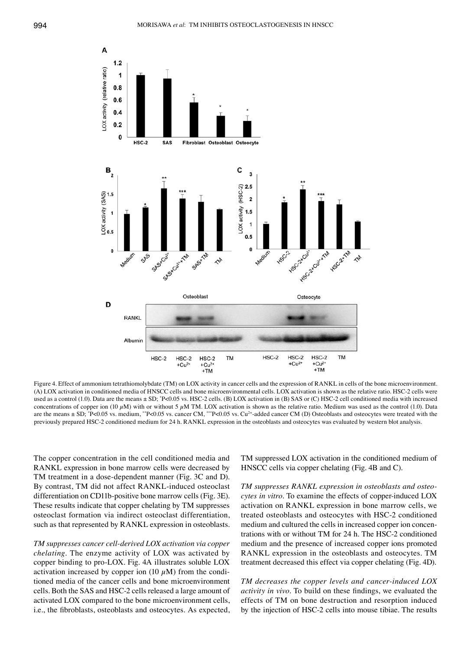

Figure 4. Effect of ammonium tetrathiomolybdate (TM) on LOX activity in cancer cells and the expression of RANKL in cells of the bone microenvironment. (A) LOX activation in conditioned media of HNSCC cells and bone microenvironmental cells. LOX activation is shown as the relative ratio. HSC-2 cells were used as a control (1.0). Data are the means  $\pm$  SD; \*P<0.05 vs. HSC-2 cells. (B) LOX activation in (B) SAS or (C) HSC-2 cell conditioned media with increased concentrations of copper ion (10  $\mu$ M) with or without 5  $\mu$ M TM. LOX activation is shown as the relative ratio. Medium was used as the control (1.0). Data are the means ± SD; \*P<0.05 vs. medium, \*\*P<0.05 vs. cancer CM, \*\*\*P<0.05 vs. Cu<sup>2+</sup>-added cancer CM (D) Osteoblasts and osteocytes were treated with the previously prepared HSC-2 conditioned medium for 24 h. RANKL expression in the osteoblasts and osteocytes was evaluated by western blot analysis.

The copper concentration in the cell conditioned media and RANKL expression in bone marrow cells were decreased by TM treatment in a dose-dependent manner (Fig. 3C and D). By contrast, TM did not affect RANKL-induced osteoclast differentiation on CD11b-positive bone marrow cells (Fig. 3E). These results indicate that copper chelating by TM suppresses osteoclast formation via indirect osteoclast differentiation, such as that represented by RANKL expression in osteoblasts.

*TM suppresses cancer cell-derived LOX activation via copper chelating.* The enzyme activity of LOX was activated by copper binding to pro-LOX. Fig. 4A illustrates soluble LOX activation increased by copper ion  $(10 \mu M)$  from the conditioned media of the cancer cells and bone microenvironment cells. Both the SAS and HSC-2 cells released a large amount of activated LOX compared to the bone microenvironment cells, i.e., the fibroblasts, osteoblasts and osteocytes. As expected, TM suppressed LOX activation in the conditioned medium of HNSCC cells via copper chelating (Fig. 4B and C).

*TM suppresses RANKL expression in osteoblasts and osteocytes in vitro.* To examine the effects of copper-induced LOX activation on RANKL expression in bone marrow cells, we treated osteoblasts and osteocytes with HSC-2 conditioned medium and cultured the cells in increased copper ion concentrations with or without TM for 24 h. The HSC-2 conditioned medium and the presence of increased copper ions promoted RANKL expression in the osteoblasts and osteocytes. TM treatment decreased this effect via copper chelating (Fig. 4D).

*TM decreases the copper levels and cancer-induced LOX activity in vivo.* To build on these findings, we evaluated the effects of TM on bone destruction and resorption induced by the injection of HSC-2 cells into mouse tibiae. The results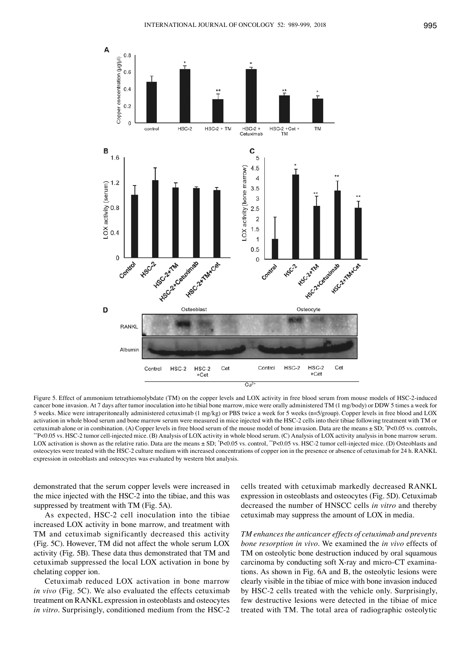

Figure 5. Effect of ammonium tetrathiomolybdate (TM) on the copper levels and LOX activity in free blood serum from mouse models of HSC-2-induced cancer bone invasion. At 7 days after tumor inoculation into he tibial bone marrow, mice were orally administered TM (1 mg/body) or DDW 5 times a week for 5 weeks. Mice were intraperitoneally administered cetuximab (1 mg/kg) or PBS twice a week for 5 weeks (n=5/group). Copper levels in free blood and LOX activation in whole blood serum and bone marrow serum were measured in mice injected with the HSC-2 cells into their tibiae following treatment with TM or cetuximab alone or in combination. (A) Copper levels in free blood serum of the mouse model of bone invasion. Data are the means  $\pm$  SD;  $P<0.05$  vs. controls, \*P<0.05 vs. HSC-2 tumor cell-injected mice. (B) Analysis of LOX activity in whole blood serum. (C) Analysis of LOX activity analysis in bone marrow serum. LOX activation is shown as the relative ratio. Data are the means ± SD; \*P<0.05 vs. control, \*\*P<0.05 vs. HSC-2 tumor cell-injected mice. (D) Osteoblasts and osteocytes were treated with the HSC-2 culture medium with increased concentrations of copper ion in the presence or absence of cetuximab for 24 h. RANKL expression in osteoblasts and osteocytes was evaluated by western blot analysis.

demonstrated that the serum copper levels were increased in the mice injected with the HSC-2 into the tibiae, and this was suppressed by treatment with TM (Fig. 5A).

As expected, HSC-2 cell inoculation into the tibiae increased LOX activity in bone marrow, and treatment with TM and cetuximab significantly decreased this activity (Fig. 5C). However, TM did not affect the whole serum LOX activity (Fig. 5B). These data thus demonstrated that TM and cetuximab suppressed the local LOX activation in bone by chelating copper ion.

Cetuximab reduced LOX activation in bone marrow *in vivo* (Fig. 5C). We also evaluated the effects cetuximab treatment on RANKL expression in osteoblasts and osteocytes *in vitro*. Surprisingly, conditioned medium from the HSC-2 cells treated with cetuximab markedly decreased RANKL expression in osteoblasts and osteocytes (Fig. 5D). Cetuximab decreased the number of HNSCC cells *in vitro* and thereby cetuximab may suppress the amount of LOX in media.

*TM enhances the anticancer effects of cetuximab and prevents bone resorption in vivo.* We examined the *in vivo* effects of TM on osteolytic bone destruction induced by oral squamous carcinoma by conducting soft X-ray and micro-CT examinations. As shown in Fig. 6A and B, the osteolytic lesions were clearly visible in the tibiae of mice with bone invasion induced by HSC-2 cells treated with the vehicle only. Surprisingly, few destructive lesions were detected in the tibiae of mice treated with TM. The total area of radiographic osteolytic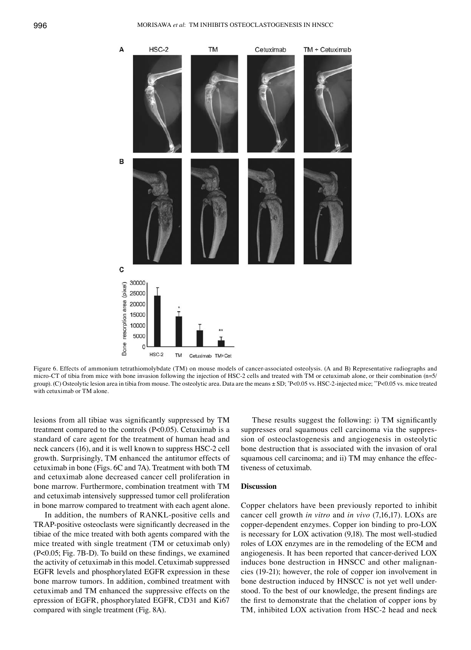

Figure 6. Effects of ammonium tetrathiomolybdate (TM) on mouse models of cancer-associated osteolysis. (A and B) Representative radiographs and micro-CT of tibia from mice with bone invasion following the injection of HSC-2 cells and treated with TM or cetuximab alone, or their combination (n=5/ group). (C) Osteolytic lesion area in tibia from mouse. The osteolytic area. Data are the means ± SD; \* P<0.05 vs. HSC-2-injected mice; \*\*P<0.05 vs. mice treated with cetuximab or TM alone.

lesions from all tibiae was significantly suppressed by TM treatment compared to the controls (P<0.05). Cetuximab is a standard of care agent for the treatment of human head and neck cancers (16), and it is well known to suppress HSC-2 cell growth. Surprisingly, TM enhanced the antitumor effects of cetuximab in bone (Figs. 6C and 7A). Treatment with both TM and cetuximab alone decreased cancer cell proliferation in bone marrow. Furthermore, combination treatment with TM and cetuximab intensively suppressed tumor cell proliferation in bone marrow compared to treatment with each agent alone.

In addition, the numbers of RANKL-positive cells and TRAP-positive osteoclasts were significantly decreased in the tibiae of the mice treated with both agents compared with the mice treated with single treatment (TM or cetuximab only) (P<0.05; Fig. 7B-D). To build on these findings, we examined the activity of cetuximab in this model. Cetuximab suppressed EGFR levels and phosphorylated EGFR expression in these bone marrow tumors. In addition, combined treatment with cetuximab and TM enhanced the suppressive effects on the epression of EGFR, phosphorylated EGFR, CD31 and Ki67 compared with single treatment (Fig. 8A).

These results suggest the following: i) TM significantly suppresses oral squamous cell carcinoma via the suppression of osteoclastogenesis and angiogenesis in osteolytic bone destruction that is associated with the invasion of oral squamous cell carcinoma; and ii) TM may enhance the effectiveness of cetuximab.

#### **Discussion**

Copper chelators have been previously reported to inhibit cancer cell growth *in vitro* and *in vivo* (7,16,17). LOXs are copper-dependent enzymes. Copper ion binding to pro-LOX is necessary for LOX activation (9,18). The most well-studied roles of LOX enzymes are in the remodeling of the ECM and angiogenesis. It has been reported that cancer-derived LOX induces bone destruction in HNSCC and other malignancies (19-21); however, the role of copper ion involvement in bone destruction induced by HNSCC is not yet well understood. To the best of our knowledge, the present findings are the first to demonstrate that the chelation of copper ions by TM, inhibited LOX activation from HSC-2 head and neck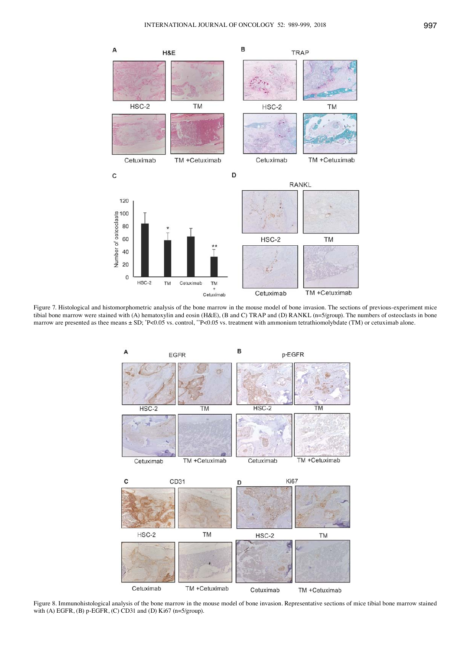

Figure 7. Histological and histomorphometric analysis of the bone marrow in the mouse model of bone invasion. The sections of previous-experiment mice tibial bone marrow were stained with (A) hematoxylin and eosin (H&E), (B and C) TRAP and (D) RANKL (n=5/group). The numbers of osteoclasts in bone marrow are presented as thee means ± SD; "P<0.05 vs. control, ""P<0.05 vs. treatment with ammonium tetrathiomolybdate (TM) or cetuximab alone.



Figure 8. Immunohistological analysis of the bone marrow in the mouse model of bone invasion. Representative sections of mice tibial bone marrow stained with (A) EGFR, (B) p-EGFR, (C) CD31 and (D) Ki67 (n=5/group).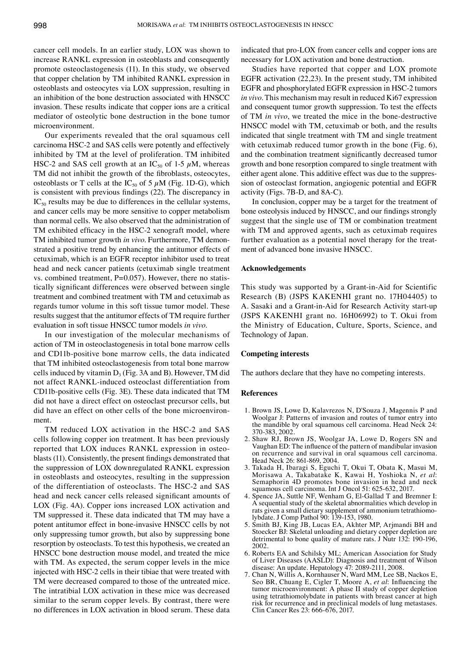cancer cell models. In an earlier study, LOX was shown to increase RANKL expression in osteoblasts and consequently promote osteoclastogenesis (11). In this study, we observed that copper chelation by TM inhibited RANKL expression in osteoblasts and osteocytes via LOX suppression, resulting in an inhibition of the bone destruction associated with HNSCC invasion. These results indicate that copper ions are a critical mediator of osteolytic bone destruction in the bone tumor microenvironment.

Our experiments revealed that the oral squamous cell carcinoma HSC-2 and SAS cells were potently and effectively inhibited by TM at the level of proliferation. TM inhibited HSC-2 and SAS cell growth at an  $IC_{50}$  of 1-5  $\mu$ M, whereas TM did not inhibit the growth of the fibroblasts, osteocytes, osteoblasts or T cells at the  $IC_{50}$  of 5  $\mu$ M (Fig. 1D-G), which is consistent with previous findings (22). The discrepancy in  $IC_{50}$  results may be due to differences in the cellular systems, and cancer cells may be more sensitive to copper metabolism than normal cells. We also observed that the administration of TM exhibited efficacy in the HSC-2 xenograft model, where TM inhibited tumor growth *in vivo*. Furthermore, TM demonstrated a positive trend by enhancing the antitumor effects of cetuximab, which is an EGFR receptor inhibitor used to treat head and neck cancer patients (cetuximab single treatment vs. combined treatment, P=0.057). However, there no statistically significant differences were observed between single treatment and combined treatment with TM and cetuximab as regards tumor volume in this soft tissue tumor model. These results suggest that the antitumor effects of TM require further evaluation in soft tissue HNSCC tumor models *in vivo*.

In our investigation of the molecular mechanisms of action of TM in osteoclastogenesis in total bone marrow cells and CD11b-positive bone marrow cells, the data indicated that TM inhibited osteoclastogenesis from total bone marrow cells induced by vitamin  $D_3$  (Fig. 3A and B). However, TM did not affect RANKL-induced osteoclast differentiation from CD11b-positive cells (Fig. 3E). These data indicated that TM did not have a direct effect on osteoclast precursor cells, but did have an effect on other cells of the bone microenvironment.

TM reduced LOX activation in the HSC-2 and SAS cells following copper ion treatment. It has been previously reported that LOX induces RANKL expression in osteoblasts (11). Consistently, the present findings demonstrated that the suppression of LOX downregulated RANKL expression in osteoblasts and osteocytes, resulting in the suppression of the differentiation of osteoclasts. The HSC-2 and SAS head and neck cancer cells released significant amounts of LOX (Fig. 4A). Copper ions increased LOX activation and TM suppressed it. These data indicated that TM may have a potent antitumor effect in bone-invasive HNSCC cells by not only suppressing tumor growth, but also by suppressing bone resorption by osteoclasts. To test this hypothesis, we created an HNSCC bone destruction mouse model, and treated the mice with TM. As expected, the serum copper levels in the mice injected with HSC-2 cells in their tibiae that were treated with TM were decreased compared to those of the untreated mice. The intratibial LOX activation in these mice was decreased similar to the serum copper levels. By contrast, there were no differences in LOX activation in blood serum. These data indicated that pro-LOX from cancer cells and copper ions are necessary for LOX activation and bone destruction.

Studies have reported that copper and LOX promote EGFR activation (22,23). In the present study, TM inhibited EGFR and phosphorylated EGFR expression in HSC-2 tumors *in vivo*. This mechanism may result in reduced Ki67 expression and consequent tumor growth suppression. To test the effects of TM *in vivo*, we treated the mice in the bone-destructive HNSCC model with TM, cetuximab or both, and the results indicated that single treatment with TM and single treatment with cetuximab reduced tumor growth in the bone (Fig. 6), and the combination treatment significantly decreased tumor growth and bone resorption compared to single treatment with either agent alone. This additive effect was due to the suppression of osteoclast formation, angiogenic potential and EGFR activity (Figs. 7B-D, and 8A-C).

In conclusion, copper may be a target for the treatment of bone osteolysis induced by HNSCC, and our findings strongly suggest that the single use of TM or combination treatment with TM and approved agents, such as cetuximab requires further evaluation as a potential novel therapy for the treatment of advanced bone invasive HNSCC.

## **Acknowledgements**

This study was supported by a Grant-in-Aid for Scientific Research (B) (JSPS KAKENHI grant no. 17H04405) to A. Sasaki and a Grant-in-Aid for Research Activity start-up (JSPS KAKENHI grant no. 16H06992) to T. Okui from the Ministry of Education, Culture, Sports, Science, and Technology of Japan.

## **Competing interests**

The authors declare that they have no competing interests.

#### **References**

- 1. Brown JS, Lowe D, Kalavrezos N, D'Souza J, Magennis P and Woolgar J: Patterns of invasion and routes of tumor entry into the mandible by oral squamous cell carcinoma. Head Neck 24: 370-383, 2002.
- 2. Shaw RJ, Brown JS, Woolgar JA, Lowe D, Rogers SN and Vaughan ED: The influence of the pattern of mandibular invasion on recurrence and survival in oral squamous cell carcinoma. Head Neck 26: 861-869, 2004.
- 3. Takada H, Ibaragi S, Eguchi T, Okui T, Obata K, Masui M, Morisawa A, Takabatake K, Kawai H, Yoshioka N, *et al*: Semaphorin 4D promotes bone invasion in head and neck squamous cell carcinoma. Int J Oncol 51: 625-632, 2017.
- 4. Spence JA, Suttle NF, Wenham G, El-Gallad T and Bremner I: A sequential study of the skeletal abnormalities which develop in rats given a small dietary supplement of ammonium tetrathiomolybdate. J Comp Pathol 90: 139-153, 1980.
- 5. Smith BJ, King JB, Lucas EA, Akhter MP, Arjmandi BH and Stoecker BJ: Skeletal unloading and dietary copper depletion are detrimental to bone quality of mature rats. J Nutr 132: 190-196, 2002.
- 6. Roberts EA and Schilsky ML; American Association for Study of Liver Diseases (AASLD): Diagnosis and treatment of Wilson disease: An update. Hepatology 47: 2089-2111, 2008.
- 7. Chan N, Willis A, Kornhauser N, Ward MM, Lee SB, Nackos E, Seo BR, Chuang E, Cigler T, Moore A, *et al*: Influencing the tumor microenvironment: A phase II study of copper depletion using tetrathiomolybdate in patients with breast cancer at high risk for recurrence and in preclinical models of lung metastases. Clin Cancer Res 23: 666-676, 2017.